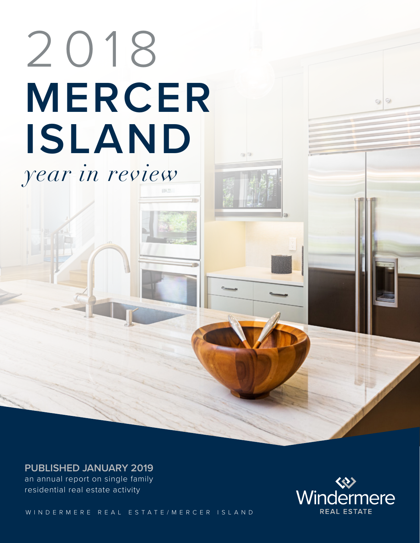# **MERCER ISLAND** 2018 *year in review*

**PUBLISHED JANUARY 2019**

an annual report on single family residential real estate activity

WINDERMERE REAL ESTATE/MERCER ISLAND



 $\circ$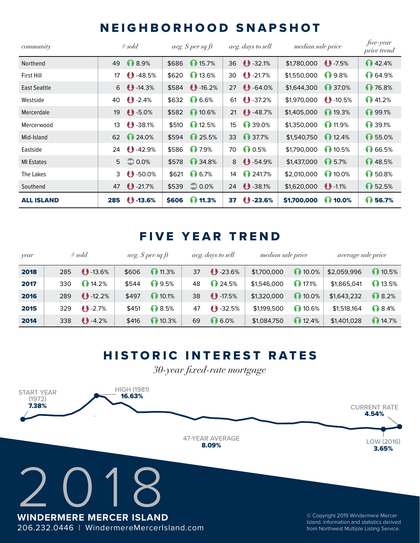#### NEIGHBORHOOD SNAPSHOT

| community           | # $\mathit{sold}$ |                      | avg. $\mathcal S$ per sq ft |                          | avg. days to sell |                   | median sale price |                  | five-year<br>price trend |
|---------------------|-------------------|----------------------|-----------------------------|--------------------------|-------------------|-------------------|-------------------|------------------|--------------------------|
| Northend            | 49                | ↑ 8.9%               | \$686                       | 15.7%                    |                   | 36 32.1%          | \$1,780,000       | $\bigcup$ -7.5%  | 142.4%                   |
| <b>First Hill</b>   | 17                | $\bigcup$ -48.5%     | \$620                       | 13.6%                    | 30                | $\bigcup$ -21.7%  | \$1,550,000       | 1 9.8%           | ↑ 64.9%                  |
| <b>East Seattle</b> |                   | $6$ $\bigcup$ -14.3% |                             | $$584$ $\bigcirc$ -16.2% | 27                | $\bigcup$ -64.0%  | \$1,644,300       | 1 37.0%          | 176.8%                   |
| Westside            | 40                | $9 - 2.4%$           | \$632                       | ↑ 6.6%                   | 61                | $\bigcup$ -37.2%  | \$1,970,000       | $\bigcup$ -10.5% | 141.2%                   |
| Mercerdale          | 19                | $\bigcup$ -5.0%      | \$582                       | 10.6%                    | 21                | $\bigcup$ -48.7%  | \$1,405,000       | 19.3%            | ∩ 99.1%                  |
| Mercerwood          | 13                | $\bigcup$ -38.1%     |                             | $$510$ 12.5%             | 15                | 1 39.0%           | \$1,350,000       | 11.9%            | ↑ 39.1%                  |
| Mid-Island          | 62                | 1 24.0%              |                             | $$594$ 25.5%             | 33                | 1 37.7%           | \$1,540,750       | 12.4%            | ↑ 55.0%                  |
| Eastside            | 24                | $\bigcup$ -42.9%     | \$586                       | 17.9%                    | 70                | ∩ 0.5%            | \$1,790,000       | 10.5%            | ↑ 66.5%                  |
| <b>MI Estates</b>   | 5                 | $\Rightarrow$ 0.0%   | \$578                       | 1 34.8%                  | 8                 | $\bigcirc$ -54.9% | \$1,437,000       | 1 5.7%           | ↑48.5%                   |
| The Lakes           | 3                 | $\bigcirc$ -50.0%    |                             | $$621$ 6.7%              | 14                | 241.7%            | \$2,010,000       | 10.0%            | ↑ 50.8%                  |
| Southend            | 47                | $\bigcup$ -21.7%     | \$539                       | $\bigcirc$ 0.0%          | 24                | $\bigcup$ -38.1%  | \$1,620,000       | 0.11%            | ↑ 52.5%                  |
| <b>ALL ISLAND</b>   | 285               | $\bigcup$ -13.6%     | \$606                       | $($ 11.3%                | 37                | $\bigcup$ -23.6%  | \$1,700,000       | (1) 10.0%        | ∩ 56.7%                  |

#### FIVE YEAR TREND

| year | # $\mathfrak{so}$ ld |                  | avg. $\mathcal S$ per sq ft |        | avg. days to sell |                   | median sale price |       | average sale price |        |
|------|----------------------|------------------|-----------------------------|--------|-------------------|-------------------|-------------------|-------|--------------------|--------|
| 2018 | 285                  | $\bigcup$ -13.6% | \$606                       | 11.3%  | 37                | $\bigcup$ -23.6%  | \$1,700,000       | 10.0% | \$2,059,996        | 10.5%  |
| 2017 | 330                  | 14.2%            | \$544                       | ∩ 9.5% | 48                | ∩ 24.5%           | \$1,546,000       | 17.1% | \$1,865,041        | 13.5%  |
| 2016 | 289                  | $\bigcup$ -12.2% | \$497                       | 10.1%  | 38                | $\bigcirc$ -17.5% | \$1,320,000       | 10.0% | \$1,643,232        | ↑8.2%  |
| 2015 | 329                  | $\bigcup$ -2.7%  | \$451                       | ↑ 8.5% | 47                | $\bigcup$ -32.5%  | \$1,199,500       | 10.6% | \$1,518,164        | ∩ 8.4% |
| 2014 | 338                  | $\bigcup$ -4.2%  | \$416                       | 10.3%  | 69                | 06.0%             | \$1,084,750       | 12.4% | \$1,401,028        | 14.7%  |

#### HISTORIC INTEREST RATES

*30-year fixed-rate mortgage*

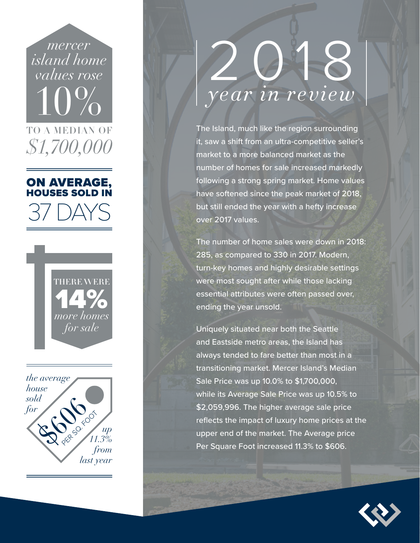*mercer island home values rose* 10% TO A MEDIAN OF *\$1,700,000*

#### ON AVERAGE, HOUSES SOLD IN

37 DAYS





## 2018 *year in review*

The Island, much like the region surrounding it, saw a shift from an ultra-competitive seller's market to a more balanced market as the number of homes for sale increased markedly following a strong spring market. Home values have softened since the peak market of 2018, but still ended the year with a hefty increase over 2017 values.

The number of home sales were down in 2018: 285, as compared to 330 in 2017. Modern, turn-key homes and highly desirable settings were most sought after while those lacking essential attributes were often passed over, ending the year unsold.

Uniquely situated near both the Seattle and Eastside metro areas, the Island has always tended to fare better than most in a transitioning market. Mercer Island's Median Sale Price was up 10.0% to \$1,700,000, while its Average Sale Price was up 10.5% to \$2,059,996. The higher average sale price reflects the impact of luxury home prices at the upper end of the market. The Average price Per Square Foot increased 11.3% to \$606.